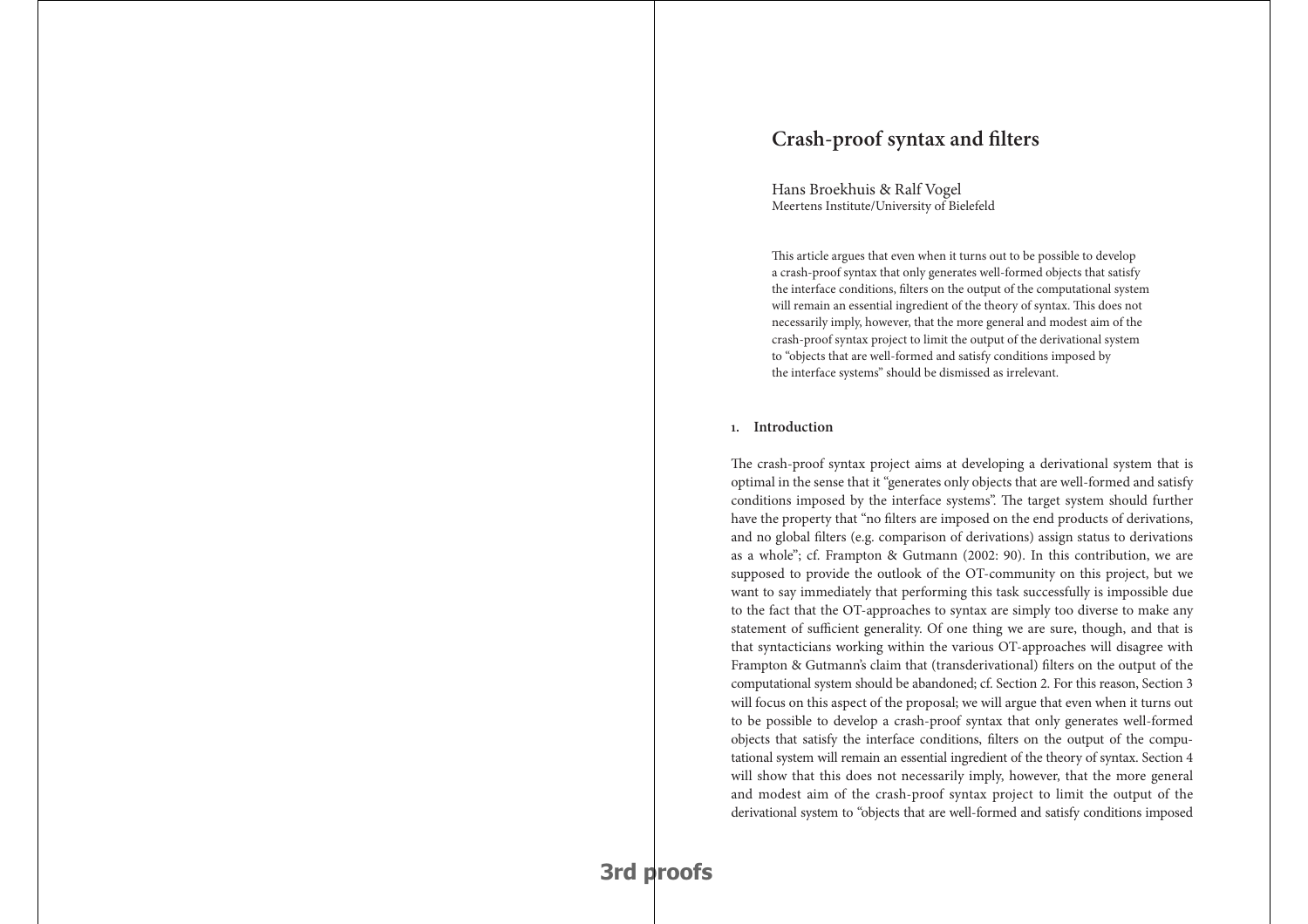# **Crash-proof syntax and filters**

Hans Broekhuis & Ralf Vogel Meertens Institute/University of Bielefeld

This article argues that even when it turns out to be possible to develop a crash-proof syntax that only generates well-formed objects that satisfy the interface conditions, filters on the output of the computational system will remain an essential ingredient of the theory of syntax. This does not necessarily imply, however, that the more general and modest aim of the crash-proof syntax project to limit the output of the derivational system to "objects that are well-formed and satisfy conditions imposed by the interface systems" should be dismissed as irrelevant.

#### **1. Introduction**

The crash-proof syntax project aims at developing a derivational system that is optimal in the sense that it "generates only objects that are well-formed and satisfy conditions imposed by the interface systems". The target system should further have the property that "no filters are imposed on the end products of derivations, and no global filters (e.g. comparison of derivations) assign status to derivations as a whole"; cf. Frampton & Gutmann (2002: 90). In this contribution, we are supposed to provide the outlook of the OT-community on this project, but we want to say immediately that performing this task successfully is impossible due to the fact that the OT-approaches to syntax are simply too diverse to make any statement of sufficient generality. Of one thing we are sure, though, and that is that syntacticians working within the various OT-approaches will disagree with Frampton & Gutmann's claim that (transderivational) filters on the output of the computational system should be abandoned; cf. Section 2. For this reason, Section 3 will focus on this aspect of the proposal; we will argue that even when it turns out to be possible to develop a crash-proof syntax that only generates well-formed objects that satisfy the interface conditions, filters on the output of the computational system will remain an essential ingredient of the theory of syntax. Section 4 will show that this does not necessarily imply, however, that the more general and modest aim of the crash-proof syntax project to limit the output of the derivational system to "objects that are well-formed and satisfy conditions imposed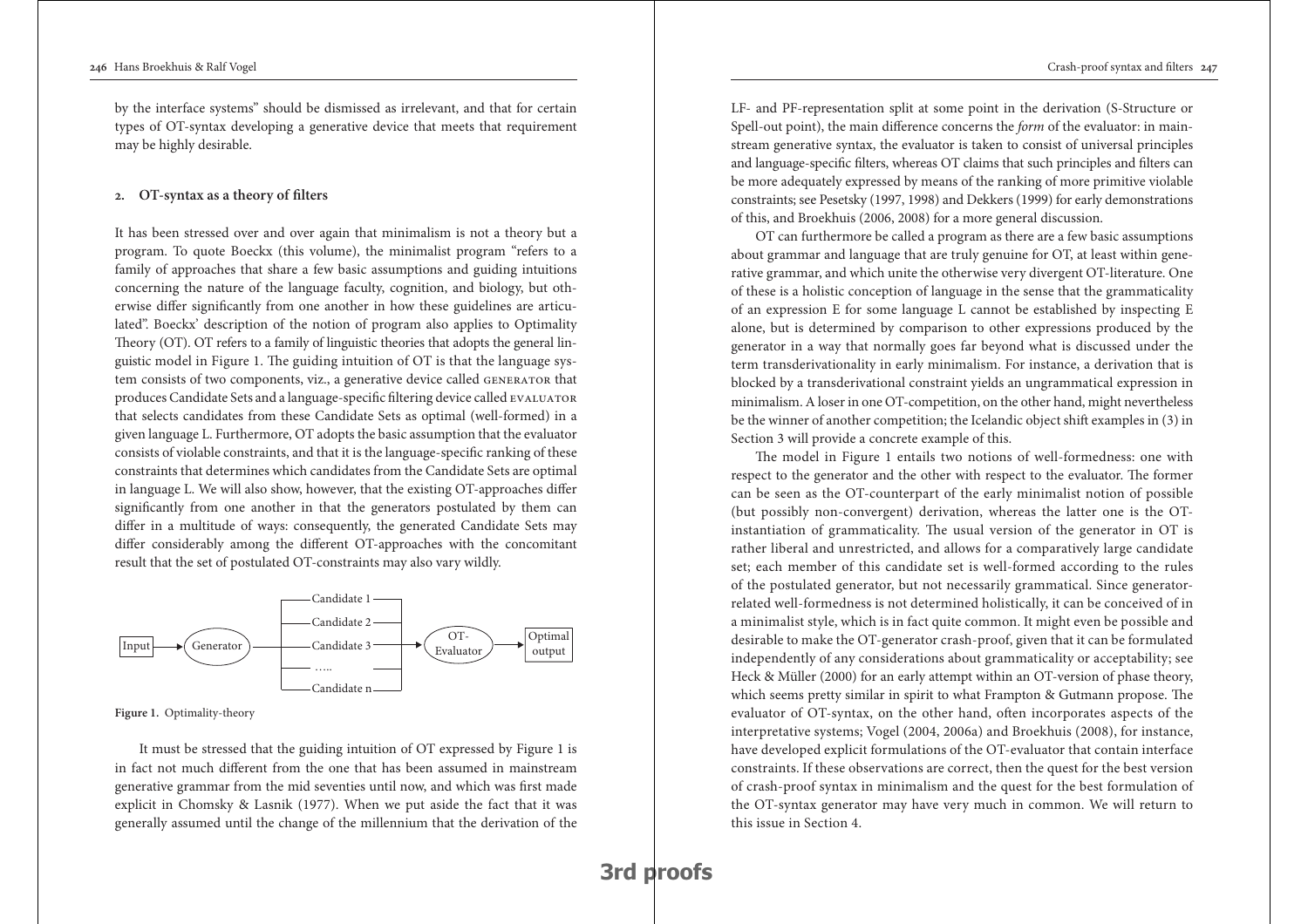by the interface systems" should be dismissed as irrelevant, and that for certain types of OT-syntax developing a generative device that meets that requirement may be highly desirable.

#### **2. OT-syntax as a theory of filters**

It has been stressed over and over again that minimalism is not a theory but a program. To quote Boeckx (this volume), the minimalist program "refers to a family of approaches that share a few basic assumptions and guiding intuitions concerning the nature of the language faculty, cognition, and biology, but otherwise differ significantly from one another in how these guidelines are articulated". Boeckx' description of the notion of program also applies to Optimality Theory (OT). OT refers to a family of linguistic theories that adopts the general linguistic model in Figure 1. The guiding intuition of OT is that the language system consists of two components, viz., a generative device called generator that produces Candidate Sets and a language-specific filtering device called EVALUATOR that selects candidates from these Candidate Sets as optimal (well-formed) in a given language L. Furthermore, OT adopts the basic assumption that the evaluator consists of violable constraints, and that it is the language-specific ranking of these constraints that determines which candidates from the Candidate Sets are optimal in language L. We will also show, however, that the existing OT-approaches differ significantly from one another in that the generators postulated by them can differ in a multitude of ways: consequently, the generated Candidate Sets may differ considerably among the different OT-approaches with the concomitant result that the set of postulated OT-constraints may also vary wildly.



**Figure 1.** Optimality-theory

It must be stressed that the guiding intuition of OT expressed by Figure 1 is in fact not much different from the one that has been assumed in mainstream generative grammar from the mid seventies until now, and which was first made explicit in Chomsky & Lasnik (1977). When we put aside the fact that it was generally assumed until the change of the millennium that the derivation of the LF- and PF-representation split at some point in the derivation (S-Structure or Spell-out point), the main difference concerns the *form* of the evaluator: in mainstream generative syntax, the evaluator is taken to consist of universal principles and language-specific filters, whereas OT claims that such principles and filters can be more adequately expressed by means of the ranking of more primitive violable constraints; see Pesetsky (1997, 1998) and Dekkers (1999) for early demonstrations of this, and Broekhuis (2006, 2008) for a more general discussion.

OT can furthermore be called a program as there are a few basic assumptions about grammar and language that are truly genuine for OT, at least within generative grammar, and which unite the otherwise very divergent OT-literature. One of these is a holistic conception of language in the sense that the grammaticality of an expression E for some language L cannot be established by inspecting E alone, but is determined by comparison to other expressions produced by the generator in a way that normally goes far beyond what is discussed under the term transderivationality in early minimalism. For instance, a derivation that is blocked by a transderivational constraint yields an ungrammatical expression in minimalism. A loser in one OT-competition, on the other hand, might nevertheless be the winner of another competition; the Icelandic object shift examples in (3) in Section 3 will provide a concrete example of this.

The model in Figure 1 entails two notions of well-formedness: one with respect to the generator and the other with respect to the evaluator. The former can be seen as the OT-counterpart of the early minimalist notion of possible (but possibly non-convergent) derivation, whereas the latter one is the OTinstantiation of grammaticality. The usual version of the generator in OT is rather liberal and unrestricted, and allows for a comparatively large candidate set; each member of this candidate set is well-formed according to the rules of the postulated generator, but not necessarily grammatical. Since generatorrelated well-formedness is not determined holistically, it can be conceived of in a minimalist style, which is in fact quite common. It might even be possible and desirable to make the OT-generator crash-proof, given that it can be formulated independently of any considerations about grammaticality or acceptability; see Heck & Müller (2000) for an early attempt within an OT-version of phase theory, which seems pretty similar in spirit to what Frampton & Gutmann propose. The evaluator of OT-syntax, on the other hand, often incorporates aspects of the interpretative systems; Vogel (2004, 2006a) and Broekhuis (2008), for instance, have developed explicit formulations of the OT-evaluator that contain interface constraints. If these observations are correct, then the quest for the best version of crash-proof syntax in minimalism and the quest for the best formulation of the OT-syntax generator may have very much in common. We will return to this issue in Section 4.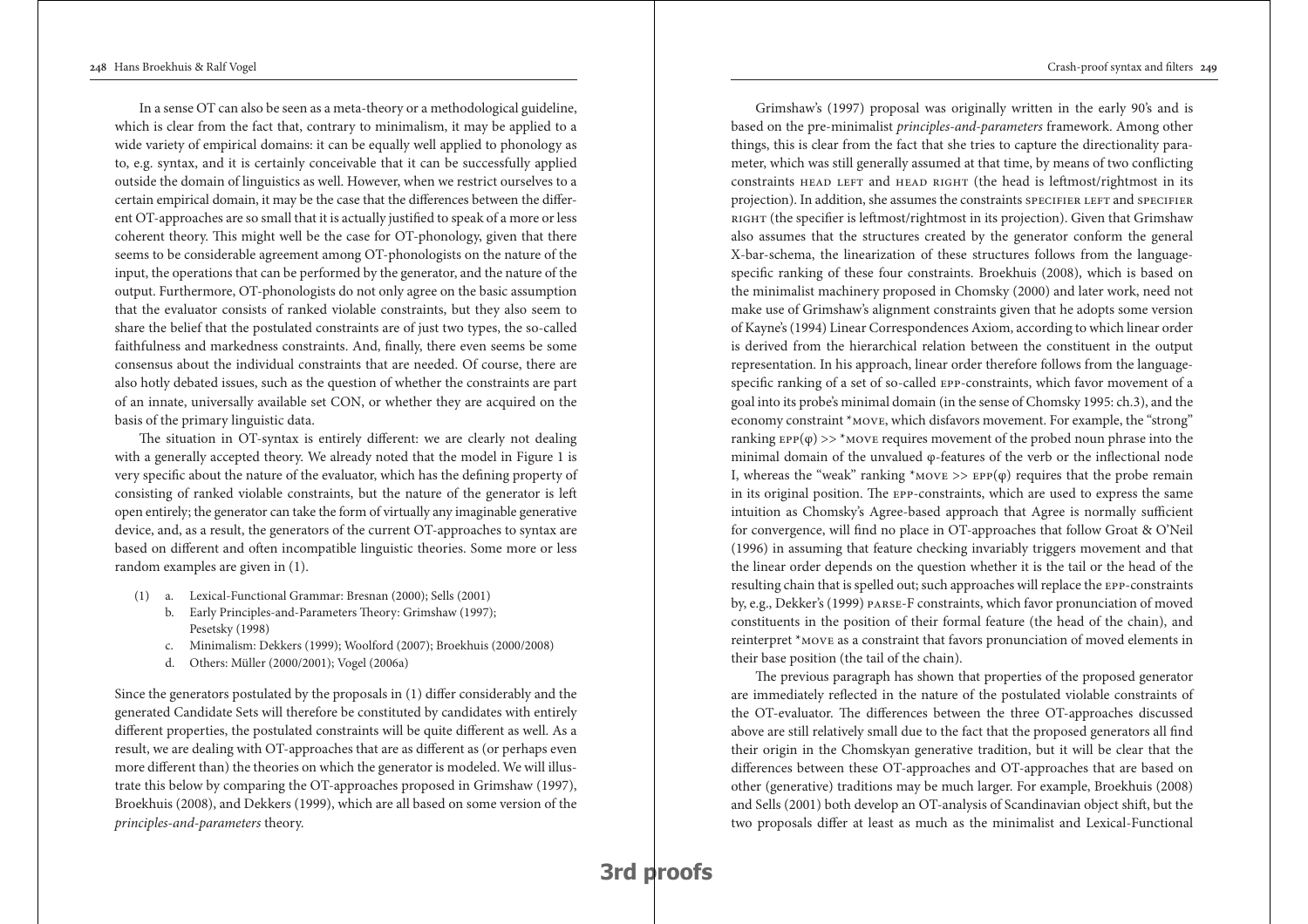In a sense OT can also be seen as a meta-theory or a methodological guideline, which is clear from the fact that, contrary to minimalism, it may be applied to a wide variety of empirical domains: it can be equally well applied to phonology as to, e.g. syntax, and it is certainly conceivable that it can be successfully applied outside the domain of linguistics as well. However, when we restrict ourselves to a certain empirical domain, it may be the case that the differences between the different OT-approaches are so small that it is actually justified to speak of a more or less coherent theory. This might well be the case for OT-phonology, given that there seems to be considerable agreement among OT-phonologists on the nature of the input, the operations that can be performed by the generator, and the nature of the output. Furthermore, OT-phonologists do not only agree on the basic assumption that the evaluator consists of ranked violable constraints, but they also seem to share the belief that the postulated constraints are of just two types, the so-called faithfulness and markedness constraints. And, finally, there even seems be some consensus about the individual constraints that are needed. Of course, there are also hotly debated issues, such as the question of whether the constraints are part of an innate, universally available set CON, or whether they are acquired on the basis of the primary linguistic data.

The situation in OT-syntax is entirely different: we are clearly not dealing with a generally accepted theory. We already noted that the model in Figure 1 is very specific about the nature of the evaluator, which has the defining property of consisting of ranked violable constraints, but the nature of the generator is left open entirely; the generator can take the form of virtually any imaginable generative device, and, as a result, the generators of the current OT-approaches to syntax are based on different and often incompatible linguistic theories. Some more or less random examples are given in (1).

- (1) a. Lexical-Functional Grammar: Bresnan (2000); Sells (2001)
	- b. Early Principles-and-Parameters Theory: Grimshaw (1997); Pesetsky (1998)
	- c. Minimalism: Dekkers (1999); Woolford (2007); Broekhuis (2000/2008)
	- d. Others: Müller (2000/2001); Vogel (2006a)

Since the generators postulated by the proposals in (1) differ considerably and the generated Candidate Sets will therefore be constituted by candidates with entirely different properties, the postulated constraints will be quite different as well. As a result, we are dealing with OT-approaches that are as different as (or perhaps even more different than) the theories on which the generator is modeled. We will illustrate this below by comparing the OT-approaches proposed in Grimshaw (1997), Broekhuis (2008), and Dekkers (1999), which are all based on some version of the *principles-and-parameters* theory.

Grimshaw's (1997) proposal was originally written in the early 90's and is based on the pre-minimalist *principles-and-parameters* framework. Among other things, this is clear from the fact that she tries to capture the directionality parameter, which was still generally assumed at that time, by means of two conflicting constraints HEAD LEFT and HEAD RIGHT (the head is leftmost/rightmost in its projection). In addition, she assumes the constraints specifier left and specifier RIGHT (the specifier is leftmost/rightmost in its projection). Given that Grimshaw also assumes that the structures created by the generator conform the general X-bar-schema, the linearization of these structures follows from the languagespecific ranking of these four constraints. Broekhuis (2008), which is based on the minimalist machinery proposed in Chomsky (2000) and later work, need not make use of Grimshaw's alignment constraints given that he adopts some version of Kayne's (1994) Linear Correspondences Axiom, according to which linear order is derived from the hierarchical relation between the constituent in the output representation. In his approach, linear order therefore follows from the languagespecific ranking of a set of so-called epp-constraints, which favor movement of a goal into its probe's minimal domain (in the sense of Chomsky 1995: ch.3), and the economy constraint \*move, which disfavors movement. For example, the "strong" ranking  $EPP(\varphi) \gg$ \*MOVE requires movement of the probed noun phrase into the minimal domain of the unvalued φ-features of the verb or the inflectional node I, whereas the "weak" ranking \*MOVE >> EPP(φ) requires that the probe remain in its original position. The epp-constraints, which are used to express the same intuition as Chomsky's Agree-based approach that Agree is normally sufficient for convergence, will find no place in OT-approaches that follow Groat & O'Neil (1996) in assuming that feature checking invariably triggers movement and that the linear order depends on the question whether it is the tail or the head of the resulting chain that is spelled out; such approaches will replace the epp-constraints by, e.g., Dekker's (1999) parse-F constraints, which favor pronunciation of moved constituents in the position of their formal feature (the head of the chain), and reinterpret \*move as a constraint that favors pronunciation of moved elements in their base position (the tail of the chain).

The previous paragraph has shown that properties of the proposed generator are immediately reflected in the nature of the postulated violable constraints of the OT-evaluator. The differences between the three OT-approaches discussed above are still relatively small due to the fact that the proposed generators all find their origin in the Chomskyan generative tradition, but it will be clear that the differences between these OT-approaches and OT-approaches that are based on other (generative) traditions may be much larger. For example, Broekhuis (2008) and Sells (2001) both develop an OT-analysis of Scandinavian object shift, but the two proposals differ at least as much as the minimalist and Lexical-Functional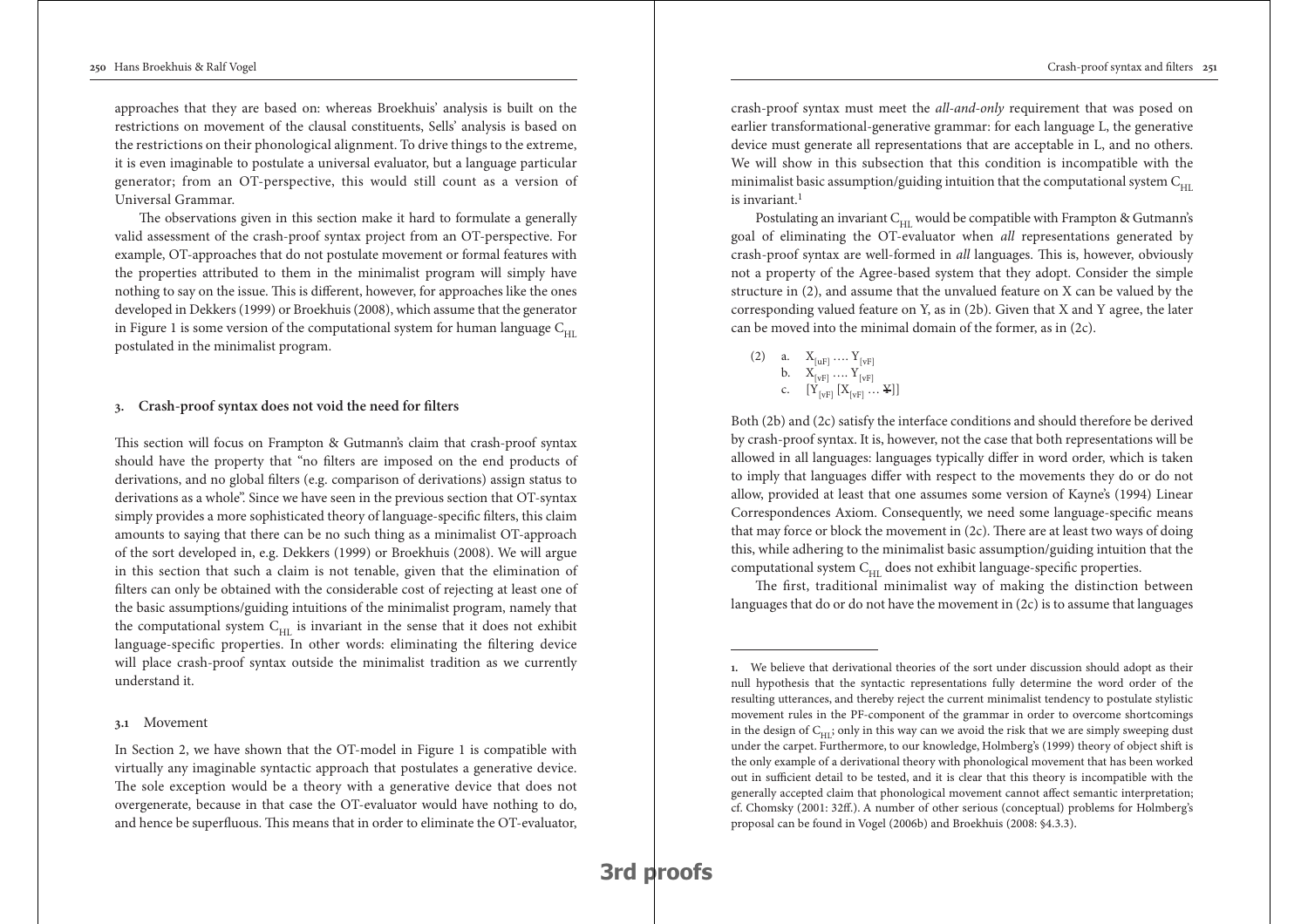approaches that they are based on: whereas Broekhuis' analysis is built on the restrictions on movement of the clausal constituents, Sells' analysis is based on the restrictions on their phonological alignment. To drive things to the extreme, it is even imaginable to postulate a universal evaluator, but a language particular generator; from an OT-perspective, this would still count as a version of Universal Grammar.

The observations given in this section make it hard to formulate a generally valid assessment of the crash-proof syntax project from an OT-perspective. For example, OT-approaches that do not postulate movement or formal features with the properties attributed to them in the minimalist program will simply have nothing to say on the issue. This is different, however, for approaches like the ones developed in Dekkers (1999) or Broekhuis (2008), which assume that the generator in Figure 1 is some version of the computational system for human language  $C_{\text{tri}}$ postulated in the minimalist program.

#### **3. Crash-proof syntax does not void the need for filters**

This section will focus on Frampton & Gutmann's claim that crash-proof syntax should have the property that "no filters are imposed on the end products of derivations, and no global filters (e.g. comparison of derivations) assign status to derivations as a whole". Since we have seen in the previous section that OT-syntax simply provides a more sophisticated theory of language-specific filters, this claim amounts to saying that there can be no such thing as a minimalist OT-approach of the sort developed in, e.g. Dekkers (1999) or Broekhuis (2008). We will argue in this section that such a claim is not tenable, given that the elimination of filters can only be obtained with the considerable cost of rejecting at least one of the basic assumptions/guiding intuitions of the minimalist program, namely that the computational system  $C_{HL}$  is invariant in the sense that it does not exhibit language-specific properties. In other words: eliminating the filtering device will place crash-proof syntax outside the minimalist tradition as we currently understand it.

crash-proof syntax must meet the *all-and-only* requirement that was posed on earlier transformational-generative grammar: for each language L, the generative device must generate all representations that are acceptable in L, and no others. We will show in this subsection that this condition is incompatible with the minimalist basic assumption/guiding intuition that the computational system  $C_{\text{H}}$ is invariant. $<sup>1</sup>$ </sup>

Postulating an invariant  $C_{HI}$  would be compatible with Frampton & Gutmann's goal of eliminating the OT-evaluator when *all* representations generated by crash-proof syntax are well-formed in *all* languages. This is, however, obviously not a property of the Agree-based system that they adopt. Consider the simple structure in (2), and assume that the unvalued feature on X can be valued by the corresponding valued feature on Y, as in (2b). Given that X and Y agree, the later can be moved into the minimal domain of the former, as in (2c).

(2) a.  $X_{[uF]} \dots Y_{[vF]}$ b.  $X_{[vF]} \dots Y_{[vF]}$ c.  $[Y_{[vF]} [X_{[vF]} ... \neq]]$ 

Both (2b) and (2c) satisfy the interface conditions and should therefore be derived by crash-proof syntax. It is, however, not the case that both representations will be allowed in all languages: languages typically differ in word order, which is taken to imply that languages differ with respect to the movements they do or do not allow, provided at least that one assumes some version of Kayne's (1994) Linear Correspondences Axiom. Consequently, we need some language-specific means that may force or block the movement in (2c). There are at least two ways of doing this, while adhering to the minimalist basic assumption/guiding intuition that the computational system  $C_{\text{H}}$  does not exhibit language-specific properties.

The first, traditional minimalist way of making the distinction between languages that do or do not have the movement in (2c) is to assume that languages

**<sup>3.1</sup>**  Movement

In Section 2, we have shown that the OT-model in Figure 1 is compatible with virtually any imaginable syntactic approach that postulates a generative device. The sole exception would be a theory with a generative device that does not overgenerate, because in that case the OT-evaluator would have nothing to do, and hence be superfluous. This means that in order to eliminate the OT-evaluator,

**<sup>.</sup>**  We believe that derivational theories of the sort under discussion should adopt as their null hypothesis that the syntactic representations fully determine the word order of the resulting utterances, and thereby reject the current minimalist tendency to postulate stylistic movement rules in the PF-component of the grammar in order to overcome shortcomings in the design of  $C_{HI}$ ; only in this way can we avoid the risk that we are simply sweeping dust under the carpet. Furthermore, to our knowledge, Holmberg's (1999) theory of object shift is the only example of a derivational theory with phonological movement that has been worked out in sufficient detail to be tested, and it is clear that this theory is incompatible with the generally accepted claim that phonological movement cannot affect semantic interpretation; cf. Chomsky (2001: 32ff.). A number of other serious (conceptual) problems for Holmberg's proposal can be found in Vogel (2006b) and Broekhuis (2008: §4.3.3).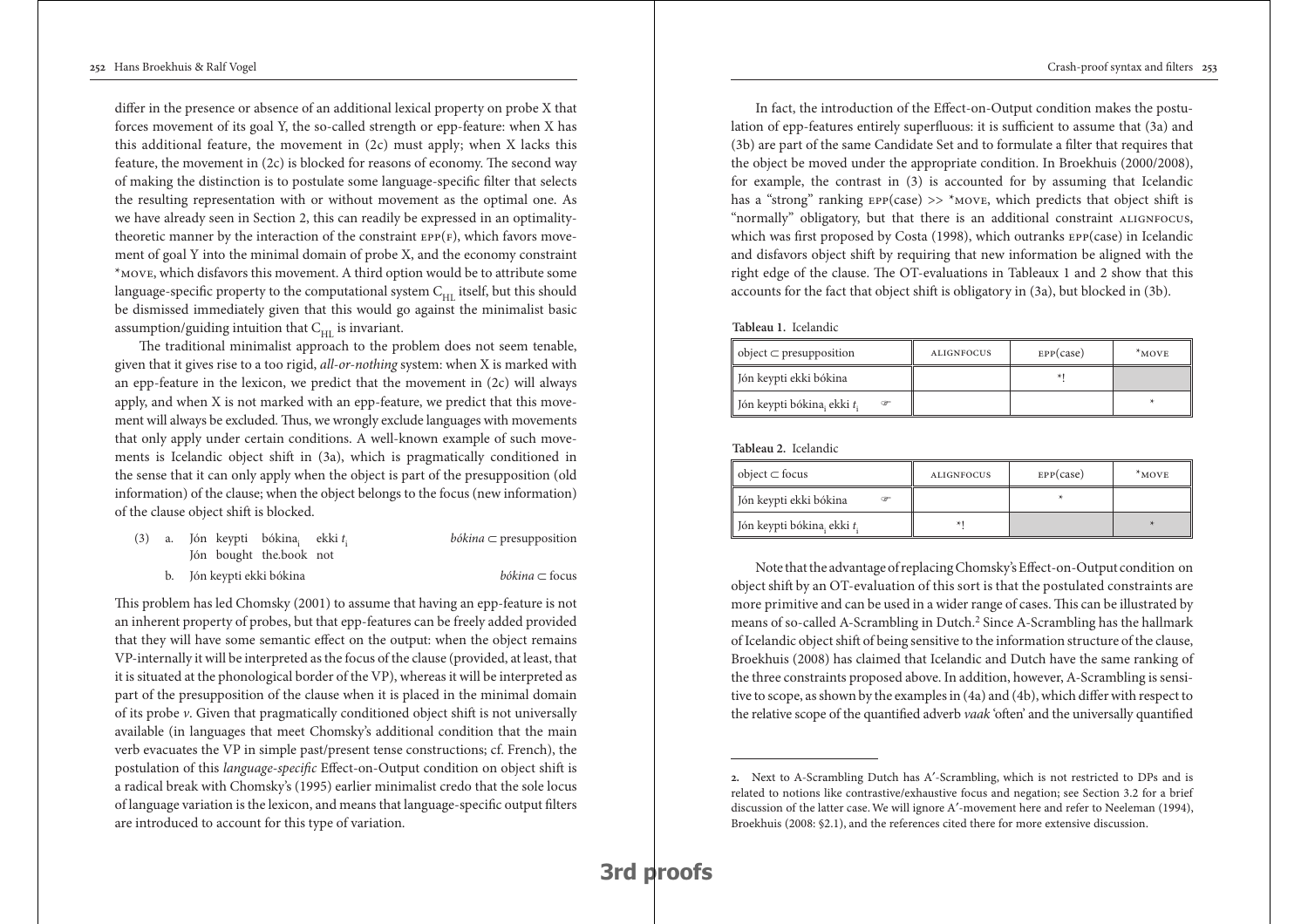differ in the presence or absence of an additional lexical property on probe X that forces movement of its goal Y, the so-called strength or epp-feature: when X has this additional feature, the movement in  $(2c)$  must apply; when X lacks this feature, the movement in (2c) is blocked for reasons of economy. The second way of making the distinction is to postulate some language-specific filter that selects the resulting representation with or without movement as the optimal one. As we have already seen in Section 2, this can readily be expressed in an optimalitytheoretic manner by the interaction of the constraint  $EPP(F)$ , which favors movement of goal Y into the minimal domain of probe X, and the economy constraint \*move, which disfavors this movement. A third option would be to attribute some language-specific property to the computational system  $C_{\text{HI}}$  itself, but this should be dismissed immediately given that this would go against the minimalist basic assumption/guiding intuition that  $C_{\text{H}}$  is invariant.

The traditional minimalist approach to the problem does not seem tenable, given that it gives rise to a too rigid, *all-or-nothing* system: when X is marked with an epp-feature in the lexicon, we predict that the movement in (2c) will always apply, and when X is not marked with an epp-feature, we predict that this movement will always be excluded. Thus, we wrongly exclude languages with movements that only apply under certain conditions. A well-known example of such movements is Icelandic object shift in (3a), which is pragmatically conditioned in the sense that it can only apply when the object is part of the presupposition (old information) of the clause; when the object belongs to the focus (new information) of the clause object shift is blocked.

(3) a. Jón keypti bókinai ekki *t* <sup>i</sup> *bókina* ⊂ presupposition Jón bought the.book not b. Jón keypti ekki bókina *bókina* ⊂ focus

This problem has led Chomsky (2001) to assume that having an epp-feature is not an inherent property of probes, but that epp-features can be freely added provided that they will have some semantic effect on the output: when the object remains VP-internally it will be interpreted as the focus of the clause (provided, at least, that it is situated at the phonological border of the VP), whereas it will be interpreted as part of the presupposition of the clause when it is placed in the minimal domain of its probe *v*. Given that pragmatically conditioned object shift is not universally available (in languages that meet Chomsky's additional condition that the main verb evacuates the VP in simple past/present tense constructions; cf. French), the postulation of this *language-specific* Effect-on-Output condition on object shift is a radical break with Chomsky's (1995) earlier minimalist credo that the sole locus of language variation is the lexicon, and means that language-specific output filters are introduced to account for this type of variation.

In fact, the introduction of the Effect-on-Output condition makes the postulation of epp-features entirely superfluous: it is sufficient to assume that (3a) and (3b) are part of the same Candidate Set and to formulate a filter that requires that the object be moved under the appropriate condition. In Broekhuis (2000/2008), for example, the contrast in (3) is accounted for by assuming that Icelandic has a "strong" ranking epp(case) >> \*move, which predicts that object shift is "normally" obligatory, but that there is an additional constraint ALIGNFOCUS, which was first proposed by Costa (1998), which outranks epp(case) in Icelandic and disfavors object shift by requiring that new information be aligned with the right edge of the clause. The OT-evaluations in Tableaux 1 and 2 show that this accounts for the fact that object shift is obligatory in (3a), but blocked in (3b).

**Tableau 1.** Icelandic

| $\parallel$ object $\subset$ presupposition   | <b>ALIGNFOCUS</b> | EPP(case) | $*_{\text{MOVE}}$ |
|-----------------------------------------------|-------------------|-----------|-------------------|
| Jón keypti ekki bókina                        |                   |           |                   |
| $\parallel$ Jón keypti bókina, ekki t,<br>ক্ল |                   |           |                   |

**Tableau 2.** Icelandic

| $\bullet$ object $\subset$ focus | <b>ALIGNFOCUS</b> | EPP(case) | $*_{MONE}$ |
|----------------------------------|-------------------|-----------|------------|
| Jón keypti ekki bókina<br>ক্ত    |                   |           |            |
| Jón keypti bókina, ekki $t_i$    |                   |           |            |

Note that the advantage of replacing Chomsky's Effect-on-Output condition on object shift by an OT-evaluation of this sort is that the postulated constraints are more primitive and can be used in a wider range of cases. This can be illustrated by means of so-called A-Scrambling in Dutch.2 Since A-Scrambling has the hallmark of Icelandic object shift of being sensitive to the information structure of the clause, Broekhuis (2008) has claimed that Icelandic and Dutch have the same ranking of the three constraints proposed above. In addition, however, A-Scrambling is sensitive to scope, as shown by the examples in (4a) and (4b), which differ with respect to the relative scope of the quantified adverb *vaak* 'often' and the universally quantified

**<sup>.</sup>**  Next to A-Scrambling Dutch has A′-Scrambling, which is not restricted to DPs and is related to notions like contrastive/exhaustive focus and negation; see Section 3.2 for a brief discussion of the latter case. We will ignore A′-movement here and refer to Neeleman (1994), Broekhuis (2008: §2.1), and the references cited there for more extensive discussion.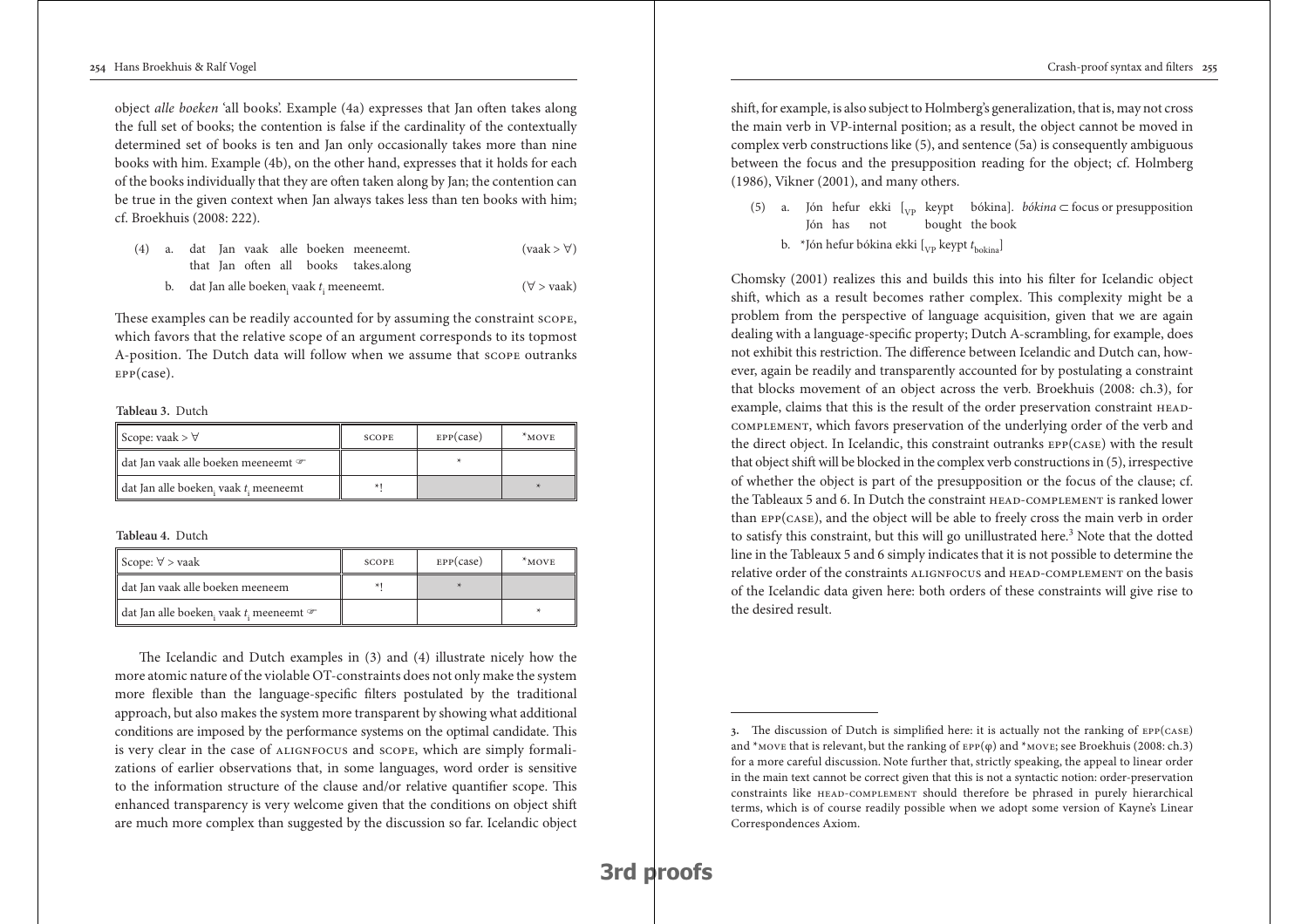object *alle boeken* 'all books'. Example (4a) expresses that Jan often takes along the full set of books; the contention is false if the cardinality of the contextually determined set of books is ten and Jan only occasionally takes more than nine books with him. Example (4b), on the other hand, expresses that it holds for each of the books individually that they are often taken along by Jan; the contention can be true in the given context when Jan always takes less than ten books with him; cf. Broekhuis (2008: 222).

|  |  |  |                                              | a. dat Jan vaak alle boeken meeneemt. | $\{v\}$ (vaak $> \forall$ ) |
|--|--|--|----------------------------------------------|---------------------------------------|-----------------------------|
|  |  |  |                                              | that Jan often all books takes.along  |                             |
|  |  |  | b. dat Jan alle boeken, vaak $t_i$ meeneemt. |                                       | $(\forall$ > vaak)          |

These examples can be readily accounted for by assuming the constraint scope, which favors that the relative scope of an argument corresponds to its topmost A-position. The Dutch data will follow when we assume that scope outranks epp(case).

#### **Tableau 3.** Dutch

| Scope: vaak $>$ $\forall$                         | SCOPE | EPP(case) | $*$ MOVE |
|---------------------------------------------------|-------|-----------|----------|
| dat Jan vaak alle boeken meeneemt <sup>or</sup>   |       |           |          |
| $\parallel$ dat Jan alle boeken, vaak t, meeneemt |       |           |          |

#### **Tableau 4.** Dutch

| Scope: $\forall$ > vaak               | <b>SCOPE</b> | EPP(case) | *MOVE |
|---------------------------------------|--------------|-----------|-------|
| dat Jan vaak alle boeken meeneem      |              |           |       |
| dat Jan alle boeken, vaak t, meeneemt |              |           |       |

The Icelandic and Dutch examples in (3) and (4) illustrate nicely how the more atomic nature of the violable OT-constraints does not only make the system more flexible than the language-specific filters postulated by the traditional approach, but also makes the system more transparent by showing what additional conditions are imposed by the performance systems on the optimal candidate. This is very clear in the case of ALIGNFOCUS and SCOPE, which are simply formalizations of earlier observations that, in some languages, word order is sensitive to the information structure of the clause and/or relative quantifier scope. This enhanced transparency is very welcome given that the conditions on object shift are much more complex than suggested by the discussion so far. Icelandic object

shift, for example, is also subject to Holmberg's generalization, that is, may not cross the main verb in VP-internal position; as a result, the object cannot be moved in complex verb constructions like (5), and sentence (5a) is consequently ambiguous between the focus and the presupposition reading for the object; cf. Holmberg (1986), Vikner (2001), and many others.

- (5) a. Jón hefur ekki  $\begin{bmatrix} V_P & keypt \end{bmatrix}$  bókina]. *bókina* ⊂ focus or presupposition Jón has not bought the book
- b. \*Jón hefur bókina ekki [<sub>VP</sub> keypt  $t_{\rm bokina}$ ]

Chomsky (2001) realizes this and builds this into his filter for Icelandic object shift, which as a result becomes rather complex. This complexity might be a problem from the perspective of language acquisition, given that we are again dealing with a language-specific property; Dutch A-scrambling, for example, does not exhibit this restriction. The difference between Icelandic and Dutch can, however, again be readily and transparently accounted for by postulating a constraint that blocks movement of an object across the verb. Broekhuis (2008: ch.3), for example, claims that this is the result of the order preservation constraint headcomplement, which favors preservation of the underlying order of the verb and the direct object. In Icelandic, this constraint outranks epp(case) with the result that object shift will be blocked in the complex verb constructions in (5), irrespective of whether the object is part of the presupposition or the focus of the clause; cf. the Tableaux 5 and 6. In Dutch the constraint HEAD-COMPLEMENT is ranked lower than epp(case), and the object will be able to freely cross the main verb in order to satisfy this constraint, but this will go unillustrated here.3 Note that the dotted line in the Tableaux 5 and 6 simply indicates that it is not possible to determine the relative order of the constraints ALIGNFOCUS and HEAD-COMPLEMENT on the basis of the Icelandic data given here: both orders of these constraints will give rise to the desired result.

**<sup>.</sup>**  The discussion of Dutch is simplified here: it is actually not the ranking of epp(case) and \*move that is relevant, but the ranking of  $EPP(\varphi)$  and \*move; see Broekhuis (2008: ch.3) for a more careful discussion. Note further that, strictly speaking, the appeal to linear order in the main text cannot be correct given that this is not a syntactic notion: order-preservation constraints like head-complement should therefore be phrased in purely hierarchical terms, which is of course readily possible when we adopt some version of Kayne's Linear Correspondences Axiom.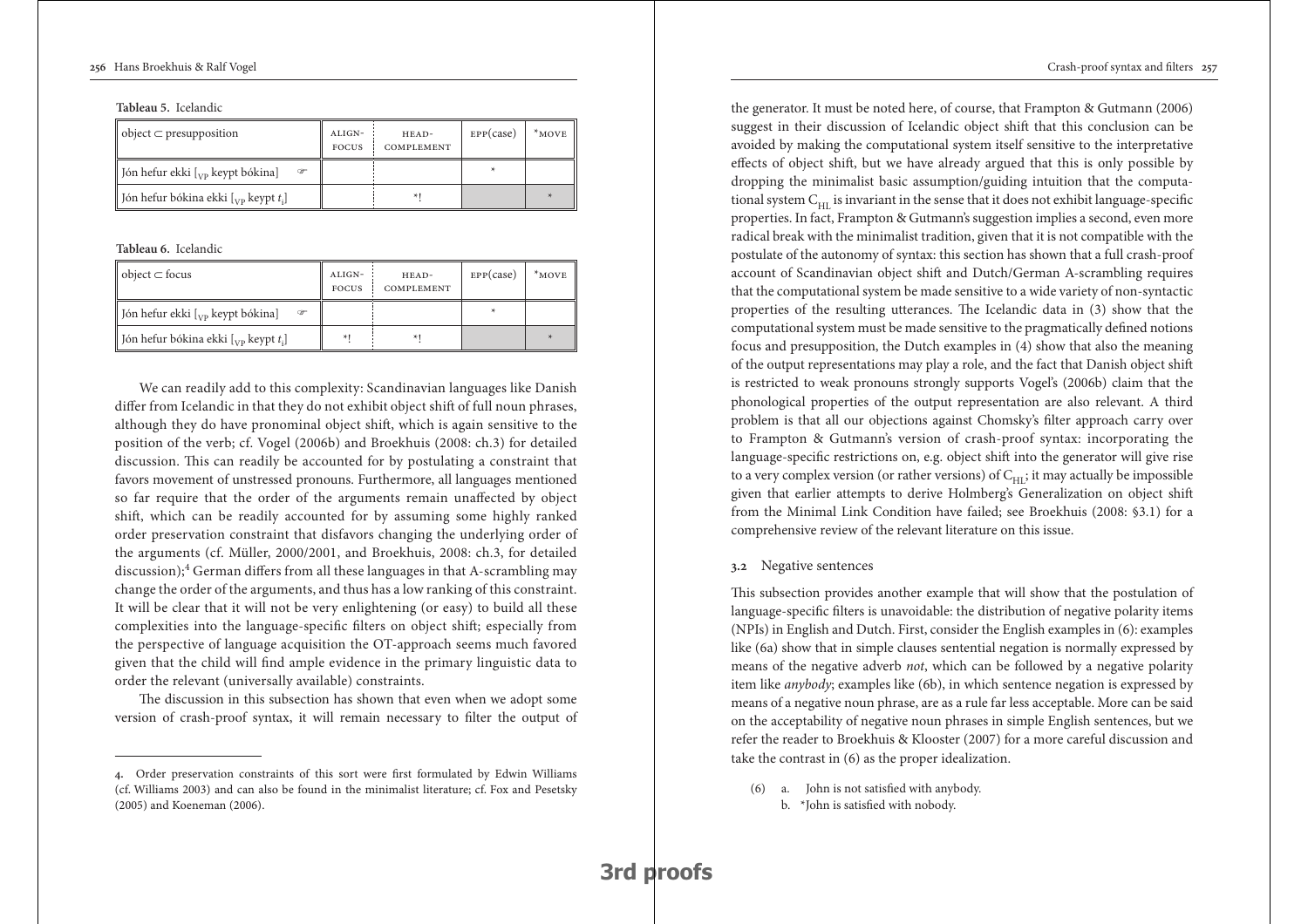**Tableau 5.** Icelandic

| $\parallel$ object $\subset$ presupposition                                                               | ALIGN-<br><b>FOCUS</b> | HEAD-<br>COMPLEMENT | EPP(case) | $*_{\text{MOVE}}$ |
|-----------------------------------------------------------------------------------------------------------|------------------------|---------------------|-----------|-------------------|
| $\parallel$ Jón hefur ekki $\left[\begin{smallmatrix} 1 \\ V \end{smallmatrix}\right]$ keypt bókina]<br>☞ |                        |                     |           |                   |
| Jón hefur bókina ekki $\left[\begin{smallmatrix} 1 \\ V_D \end{smallmatrix}\right]$ keypt $t_i$           |                        | $\ast$              |           |                   |

**Tableau 6.** Icelandic

| $\bullet$ object $\subset$ focus                                                                          | ALIGN-<br><b>FOCUS</b> | HEAD-<br>COMPLEMENT | EPP(case) | $*_{\text{MOVE}}$ |
|-----------------------------------------------------------------------------------------------------------|------------------------|---------------------|-----------|-------------------|
| $\parallel$ Jón hefur ekki $\left[\begin{smallmatrix} 1 \\ V \end{smallmatrix}\right]$ keypt bókina]<br>☞ |                        |                     |           |                   |
| Jón hefur bókina ekki $\left[\begin{smallmatrix} 1 \\ V \end{smallmatrix}\right]$ keypt $t_i$ ]           | $*1$                   | *                   |           |                   |

We can readily add to this complexity: Scandinavian languages like Danish differ from Icelandic in that they do not exhibit object shift of full noun phrases, although they do have pronominal object shift, which is again sensitive to the position of the verb; cf. Vogel (2006b) and Broekhuis (2008: ch.3) for detailed discussion. This can readily be accounted for by postulating a constraint that favors movement of unstressed pronouns. Furthermore, all languages mentioned so far require that the order of the arguments remain unaffected by object shift, which can be readily accounted for by assuming some highly ranked order preservation constraint that disfavors changing the underlying order of the arguments (cf. Müller, 2000/2001, and Broekhuis, 2008: ch.3, for detailed  $discussion$ ;<sup>4</sup> German differs from all these languages in that A-scrambling may change the order of the arguments, and thus has a low ranking of this constraint. It will be clear that it will not be very enlightening (or easy) to build all these complexities into the language-specific filters on object shift; especially from the perspective of language acquisition the OT-approach seems much favored given that the child will find ample evidence in the primary linguistic data to order the relevant (universally available) constraints.

The discussion in this subsection has shown that even when we adopt some version of crash-proof syntax, it will remain necessary to filter the output of the generator. It must be noted here, of course, that Frampton & Gutmann (2006) suggest in their discussion of Icelandic object shift that this conclusion can be avoided by making the computational system itself sensitive to the interpretative effects of object shift, but we have already argued that this is only possible by dropping the minimalist basic assumption/guiding intuition that the computational system  $C_{\text{tri}}$  is invariant in the sense that it does not exhibit language-specific properties. In fact, Frampton & Gutmann's suggestion implies a second, even more radical break with the minimalist tradition, given that it is not compatible with the postulate of the autonomy of syntax: this section has shown that a full crash-proof account of Scandinavian object shift and Dutch/German A-scrambling requires that the computational system be made sensitive to a wide variety of non-syntactic properties of the resulting utterances. The Icelandic data in (3) show that the computational system must be made sensitive to the pragmatically defined notions focus and presupposition, the Dutch examples in (4) show that also the meaning of the output representations may play a role, and the fact that Danish object shift is restricted to weak pronouns strongly supports Vogel's (2006b) claim that the phonological properties of the output representation are also relevant. A third problem is that all our objections against Chomsky's filter approach carry over to Frampton & Gutmann's version of crash-proof syntax: incorporating the language-specific restrictions on, e.g. object shift into the generator will give rise to a very complex version (or rather versions) of  $C_{\text{tri}}$ ; it may actually be impossible given that earlier attempts to derive Holmberg's Generalization on object shift from the Minimal Link Condition have failed; see Broekhuis (2008: §3.1) for a comprehensive review of the relevant literature on this issue.

### **3.2** Negative sentences

This subsection provides another example that will show that the postulation of language-specific filters is unavoidable: the distribution of negative polarity items (NPIs) in English and Dutch. First, consider the English examples in (6): examples like (6a) show that in simple clauses sentential negation is normally expressed by means of the negative adverb *not*, which can be followed by a negative polarity item like *anybody*; examples like (6b), in which sentence negation is expressed by means of a negative noun phrase, are as a rule far less acceptable. More can be said on the acceptability of negative noun phrases in simple English sentences, but we refer the reader to Broekhuis & Klooster (2007) for a more careful discussion and take the contrast in (6) as the proper idealization.

(6) a. John is not satisfied with anybody.

b. \*John is satisfied with nobody.

**<sup>.</sup>**  Order preservation constraints of this sort were first formulated by Edwin Williams (cf. Williams 2003) and can also be found in the minimalist literature; cf. Fox and Pesetsky (2005) and Koeneman (2006).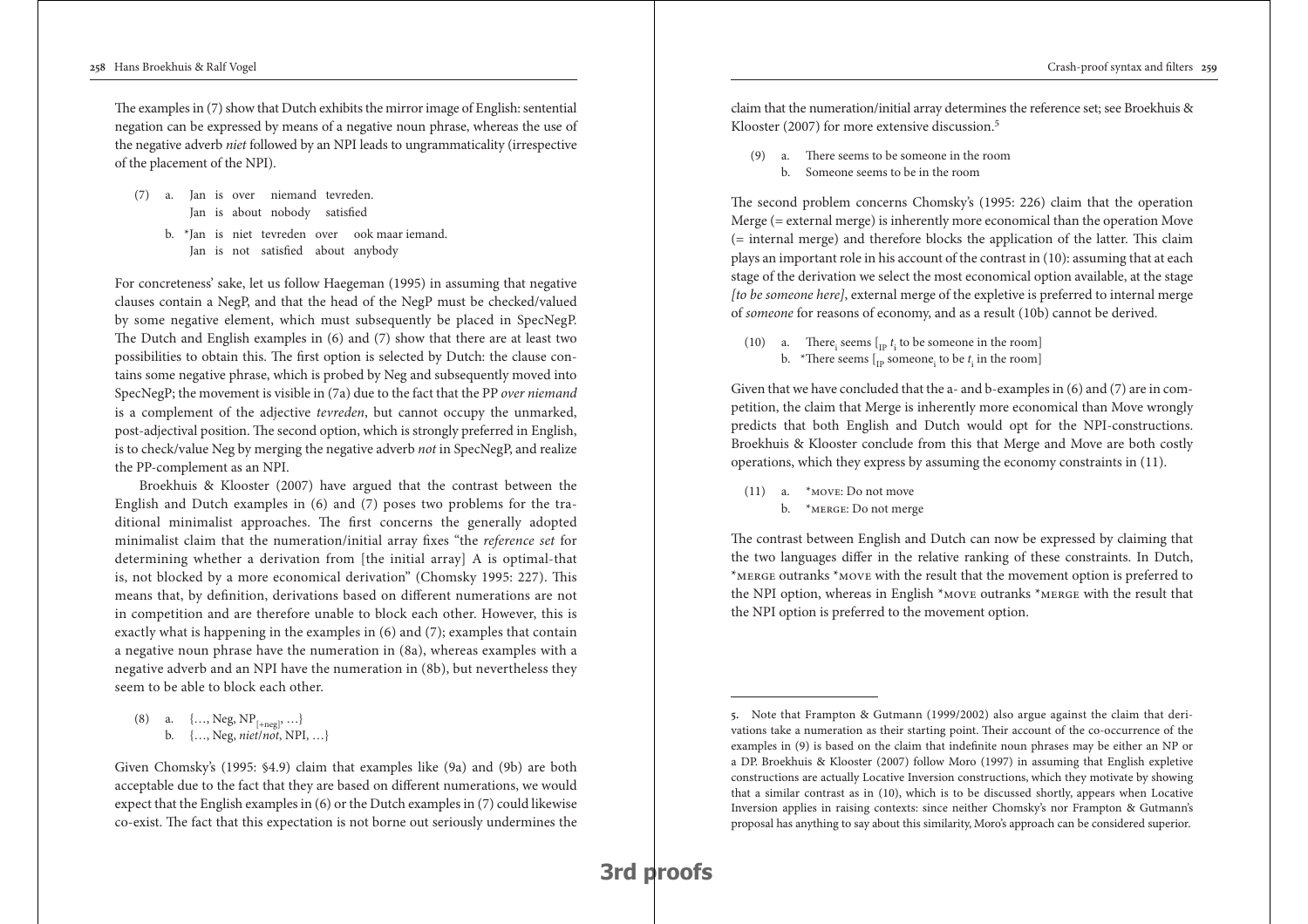The examples in (7) show that Dutch exhibits the mirror image of English: sentential negation can be expressed by means of a negative noun phrase, whereas the use of the negative adverb *niet* followed by an NPI leads to ungrammaticality (irrespective of the placement of the NPI).

- (7) a. Jan is over niemand tevreden. Jan is about nobody satisfied
	- b. \*Jan is niet tevreden over ook maar iemand. Jan is not satisfied about anybody

For concreteness' sake, let us follow Haegeman (1995) in assuming that negative clauses contain a NegP, and that the head of the NegP must be checked/valued by some negative element, which must subsequently be placed in SpecNegP. The Dutch and English examples in (6) and (7) show that there are at least two possibilities to obtain this. The first option is selected by Dutch: the clause contains some negative phrase, which is probed by Neg and subsequently moved into SpecNegP; the movement is visible in (7a) due to the fact that the PP *over niemand* is a complement of the adjective *tevreden*, but cannot occupy the unmarked, post-adjectival position. The second option, which is strongly preferred in English, is to check/value Neg by merging the negative adverb *not* in SpecNegP, and realize the PP-complement as an NPI.

Broekhuis & Klooster (2007) have argued that the contrast between the English and Dutch examples in (6) and (7) poses two problems for the traditional minimalist approaches. The first concerns the generally adopted minimalist claim that the numeration/initial array fixes "the *reference set* for determining whether a derivation from [the initial array] A is optimal-that is, not blocked by a more economical derivation" (Chomsky 1995: 227). This means that, by definition, derivations based on different numerations are not in competition and are therefore unable to block each other. However, this is exactly what is happening in the examples in (6) and (7); examples that contain a negative noun phrase have the numeration in (8a), whereas examples with a negative adverb and an NPI have the numeration in (8b), but nevertheless they seem to be able to block each other.

(8) a. {..., Neg,  $NP_{[+neg]}, ...$ } b. {…, Neg, *niet*/*not*, NPI, …}

Given Chomsky's (1995: §4.9) claim that examples like (9a) and (9b) are both acceptable due to the fact that they are based on different numerations, we would expect that the English examples in (6) or the Dutch examples in (7) could likewise co-exist. The fact that this expectation is not borne out seriously undermines the claim that the numeration/initial array determines the reference set; see Broekhuis & Klooster (2007) for more extensive discussion.<sup>5</sup>

- (9) a. There seems to be someone in the room
	- b. Someone seems to be in the room

The second problem concerns Chomsky's (1995: 226) claim that the operation Merge (= external merge) is inherently more economical than the operation Move (= internal merge) and therefore blocks the application of the latter. This claim plays an important role in his account of the contrast in (10): assuming that at each stage of the derivation we select the most economical option available, at the stage *[to be someone here]*, external merge of the expletive is preferred to internal merge of *someone* for reasons of economy, and as a result (10b) cannot be derived.

(10) a. There<sub>i</sub> seems  $\left[$ <sub>IP</sub>  $t$ <sub>i</sub> to be someone in the room] b.  $\star$ There seems  $\left[$ <sub>IP</sub> someone<sub>i</sub> to be  $t_i$  in the room]

Given that we have concluded that the a- and b-examples in (6) and (7) are in competition, the claim that Merge is inherently more economical than Move wrongly predicts that both English and Dutch would opt for the NPI-constructions. Broekhuis & Klooster conclude from this that Merge and Move are both costly operations, which they express by assuming the economy constraints in (11).

- (11) a. \*move: Do not move
	- b. \*merge: Do not merge

The contrast between English and Dutch can now be expressed by claiming that the two languages differ in the relative ranking of these constraints. In Dutch, \*merge outranks \*move with the result that the movement option is preferred to the NPI option, whereas in English \*move outranks \*merge with the result that the NPI option is preferred to the movement option.

**<sup>.</sup>**  Note that Frampton & Gutmann (1999/2002) also argue against the claim that derivations take a numeration as their starting point. Their account of the co-occurrence of the examples in (9) is based on the claim that indefinite noun phrases may be either an NP or a DP. Broekhuis & Klooster (2007) follow Moro (1997) in assuming that English expletive constructions are actually Locative Inversion constructions, which they motivate by showing that a similar contrast as in (10), which is to be discussed shortly, appears when Locative Inversion applies in raising contexts: since neither Chomsky's nor Frampton & Gutmann's proposal has anything to say about this similarity, Moro's approach can be considered superior.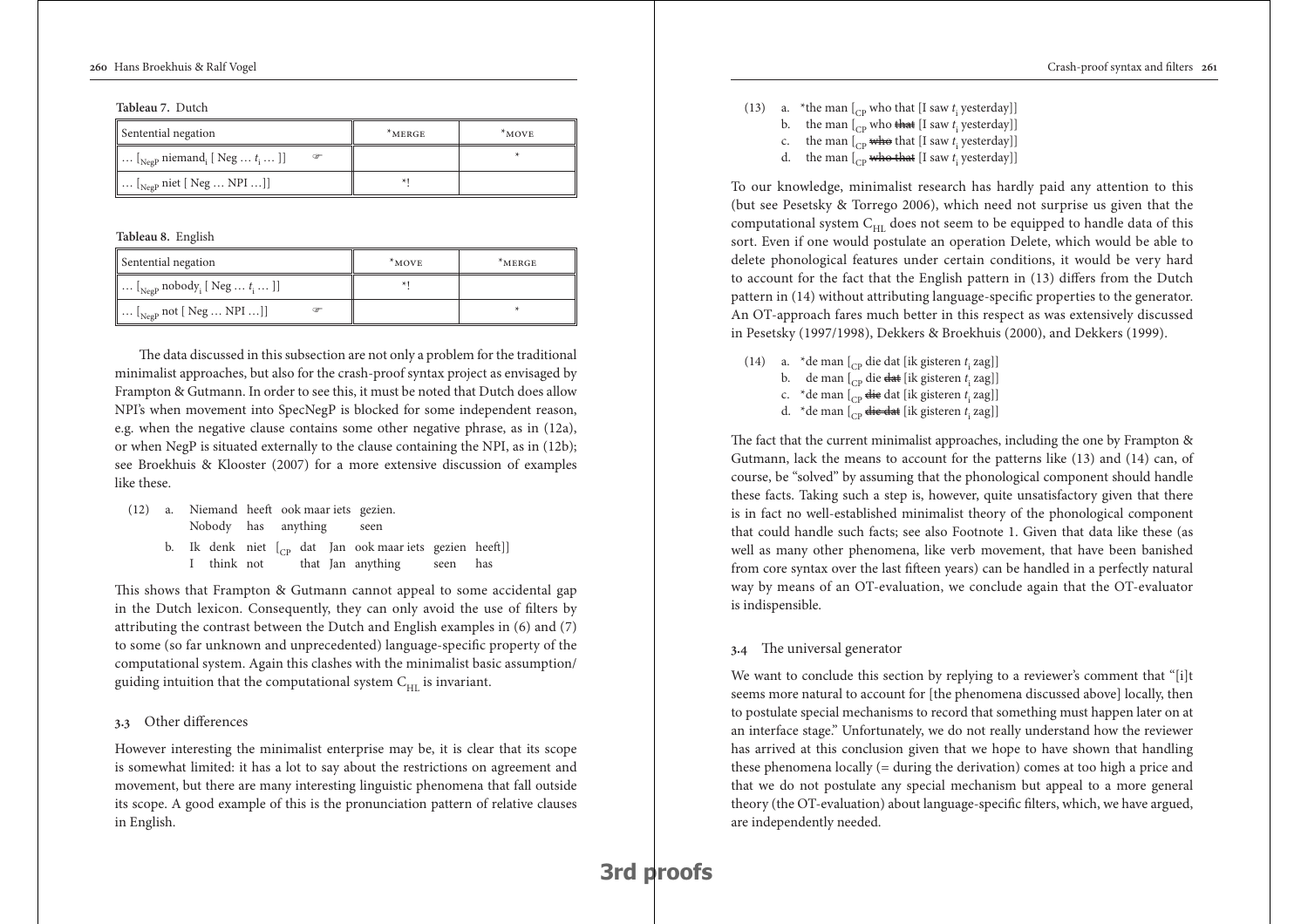**Tableau 7.** Dutch

| Sentential negation                                                       | $*_{MERGE}$ | $*_{\text{MOVE}}$ |
|---------------------------------------------------------------------------|-------------|-------------------|
| $\ \ldots\ _{\text{NegP}}$ niemand <sub>i</sub> [Neg $t_i \ldots$ ]]<br>☞ |             |                   |
| $\ \ldots\ _{\text{NegP}}$ niet [ Neg $\ldots$ NPI $\ldots$ ]]            |             |                   |

**Tableau 8.** English

| Sentential negation                                                  | $*_{\text{MOVE}}$ | $*_{MERGE}$ |
|----------------------------------------------------------------------|-------------------|-------------|
| $\ \ldots\ _{\text{NegP}}$ nobody <sub>i</sub> [ Neg $t_i \ldots$ ]] |                   |             |
| $\ \ldots\ _{\text{NegP}}$ not [ Neg $\ldots$ NPI $\ldots$ ]]        |                   |             |

The data discussed in this subsection are not only a problem for the traditional minimalist approaches, but also for the crash-proof syntax project as envisaged by Frampton & Gutmann. In order to see this, it must be noted that Dutch does allow NPI's when movement into SpecNegP is blocked for some independent reason, e.g. when the negative clause contains some other negative phrase, as in (12a), or when NegP is situated externally to the clause containing the NPI, as in (12b); see Broekhuis & Klooster (2007) for a more extensive discussion of examples like these.

|  |             | (12) a. Niemand heeft ook maar iets gezien.<br>Nobody has anything seen |  |  |                                                                                                  |  |  |
|--|-------------|-------------------------------------------------------------------------|--|--|--------------------------------------------------------------------------------------------------|--|--|
|  |             |                                                                         |  |  | b. Ik denk niet $\begin{bmatrix} 1 & 0 \\ 0 & 0 \end{bmatrix}$ at Jan ook maar iets gezien heeft |  |  |
|  | I think not |                                                                         |  |  | that Jan anything seen has                                                                       |  |  |

This shows that Frampton & Gutmann cannot appeal to some accidental gap in the Dutch lexicon. Consequently, they can only avoid the use of filters by attributing the contrast between the Dutch and English examples in (6) and (7) to some (so far unknown and unprecedented) language-specific property of the computational system. Again this clashes with the minimalist basic assumption/ guiding intuition that the computational system  $C_{HI}$  is invariant.

### **3.3**  Other differences

However interesting the minimalist enterprise may be, it is clear that its scope is somewhat limited: it has a lot to say about the restrictions on agreement and movement, but there are many interesting linguistic phenomena that fall outside its scope. A good example of this is the pronunciation pattern of relative clauses in English.

- (13) a.  $*$ the man  $\lfloor_{\text{CP}}$  who that [I saw  $t_i$  yesterday]]
- b. the man  $\begin{bmatrix} \text{Cp} \\ \text{CP} \end{bmatrix}$  is that  $\begin{bmatrix} \text{I} & \text{Saw } t_1 \end{bmatrix}$  is setted by  $\begin{bmatrix} \text{I} \\ \text{Saw } t_1 \end{bmatrix}$
- c. the man  $\left[\begin{array}{cc} \text{cm} \\ \text{CP} \end{array}\right]$  that  $\left[\begin{array}{cc} I \text{ saw } t_i \end{array}\right]$  yesterday
- d. the man  $\lfloor_{\text{CP}}$  <del>who that</del> [I saw  $t_i$  yesterday]]

To our knowledge, minimalist research has hardly paid any attention to this (but see Pesetsky & Torrego 2006), which need not surprise us given that the computational system  $C_{\text{HT}}$  does not seem to be equipped to handle data of this sort. Even if one would postulate an operation Delete, which would be able to delete phonological features under certain conditions, it would be very hard to account for the fact that the English pattern in (13) differs from the Dutch pattern in (14) without attributing language-specific properties to the generator. An OT-approach fares much better in this respect as was extensively discussed in Pesetsky (1997/1998), Dekkers & Broekhuis (2000), and Dekkers (1999).

- (14) a.  $*$ de man  $\begin{bmatrix} C_P \end{bmatrix}$  die dat  $[ik$  gisteren  $t_i$  zag]]
- b. de man [<sub>CP</sub> die <del>dat</del> [ik gisteren *t*<sub>i</sub> zag]]
- c. \*de man [<sub>CP</sub> <del>die</del> dat [ik gisteren *t*<sub>i</sub> zag]]
- d. \*de man [<sub>CP</sub> <del>die dat</del> [ik gisteren  $t_{\rm i}$  zag]]

The fact that the current minimalist approaches, including the one by Frampton & Gutmann, lack the means to account for the patterns like (13) and (14) can, of course, be "solved" by assuming that the phonological component should handle these facts. Taking such a step is, however, quite unsatisfactory given that there is in fact no well-established minimalist theory of the phonological component that could handle such facts; see also Footnote 1. Given that data like these (as well as many other phenomena, like verb movement, that have been banished from core syntax over the last fifteen years) can be handled in a perfectly natural way by means of an OT-evaluation, we conclude again that the OT-evaluator is indispensible.

### **3.4** The universal generator

We want to conclude this section by replying to a reviewer's comment that "[i]t seems more natural to account for [the phenomena discussed above] locally, then to postulate special mechanisms to record that something must happen later on at an interface stage." Unfortunately, we do not really understand how the reviewer has arrived at this conclusion given that we hope to have shown that handling these phenomena locally (= during the derivation) comes at too high a price and that we do not postulate any special mechanism but appeal to a more general theory (the OT-evaluation) about language-specific filters, which, we have argued, are independently needed.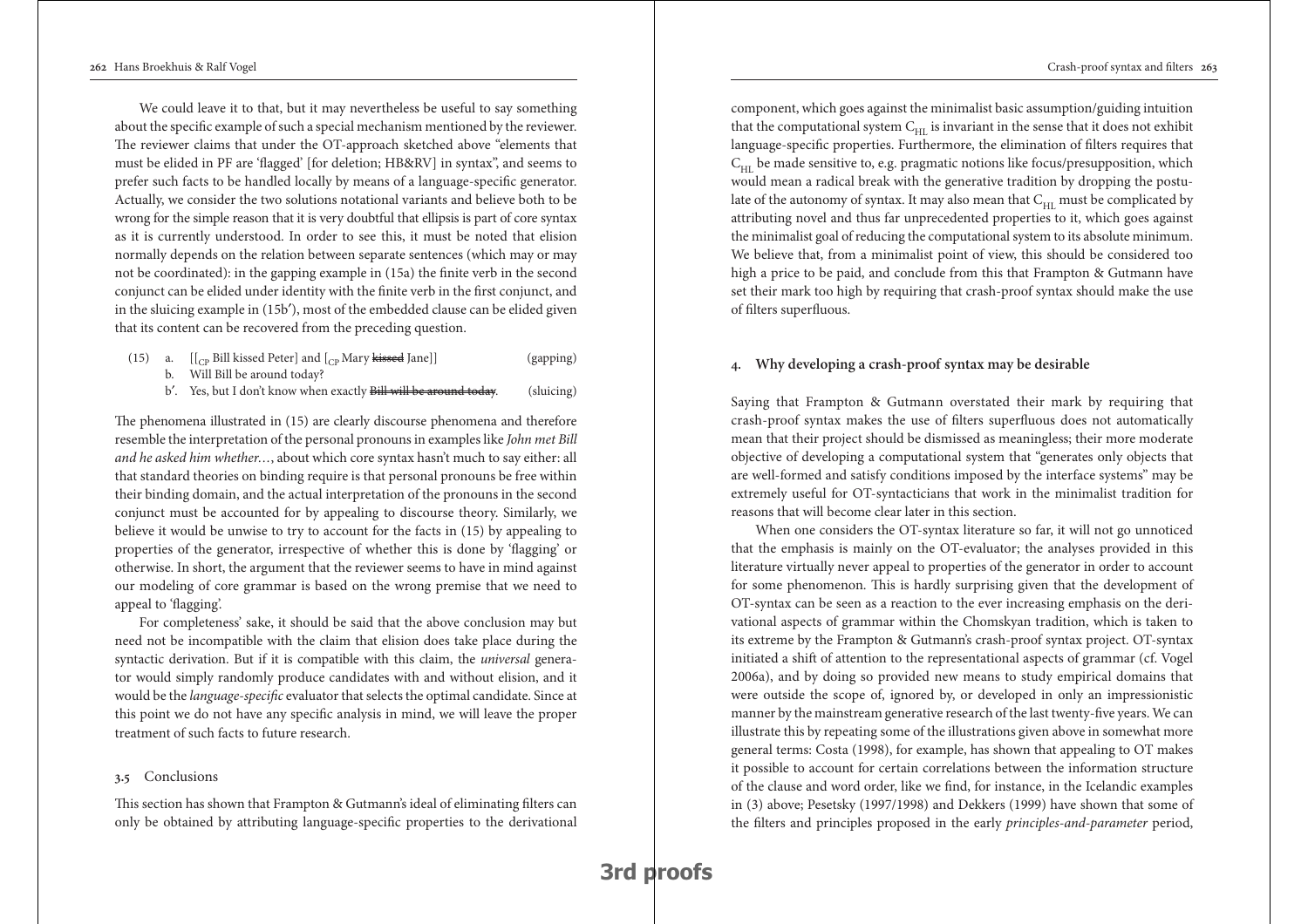We could leave it to that, but it may nevertheless be useful to say something about the specific example of such a special mechanism mentioned by the reviewer. The reviewer claims that under the OT-approach sketched above "elements that must be elided in PF are 'flagged' [for deletion; HB&RV] in syntax", and seems to prefer such facts to be handled locally by means of a language-specific generator. Actually, we consider the two solutions notational variants and believe both to be wrong for the simple reason that it is very doubtful that ellipsis is part of core syntax as it is currently understood. In order to see this, it must be noted that elision normally depends on the relation between separate sentences (which may or may not be coordinated): in the gapping example in (15a) the finite verb in the second conjunct can be elided under identity with the finite verb in the first conjunct, and in the sluicing example in (15b′), most of the embedded clause can be elided given that its content can be recovered from the preceding question.

|  | (15) a. $[[_{CP}$ Bill kissed Peter] and $[_{CP}$ Mary <del>kissed</del> Jane]] | (gapping) |
|--|---------------------------------------------------------------------------------|-----------|
|  | b. Will Bill be around today?                                                   |           |

b'. Yes, but I don't know when exactly Bill will be around today. (sluicing)

The phenomena illustrated in (15) are clearly discourse phenomena and therefore resemble the interpretation of the personal pronouns in examples like *John met Bill and he asked him whether…*, about which core syntax hasn't much to say either: all that standard theories on binding require is that personal pronouns be free within their binding domain, and the actual interpretation of the pronouns in the second conjunct must be accounted for by appealing to discourse theory. Similarly, we believe it would be unwise to try to account for the facts in (15) by appealing to properties of the generator, irrespective of whether this is done by 'flagging' or otherwise. In short, the argument that the reviewer seems to have in mind against our modeling of core grammar is based on the wrong premise that we need to appeal to 'flagging'.

For completeness' sake, it should be said that the above conclusion may but need not be incompatible with the claim that elision does take place during the syntactic derivation. But if it is compatible with this claim, the *universal* generator would simply randomly produce candidates with and without elision, and it would be the *language-specific* evaluator that selects the optimal candidate. Since at this point we do not have any specific analysis in mind, we will leave the proper treatment of such facts to future research.

#### **3.5** Conclusions

This section has shown that Frampton & Gutmann's ideal of eliminating filters can only be obtained by attributing language-specific properties to the derivational component, which goes against the minimalist basic assumption/guiding intuition that the computational system  $C_{\text{tr}}$  is invariant in the sense that it does not exhibit language-specific properties. Furthermore, the elimination of filters requires that  $C<sub>HI</sub>$  be made sensitive to, e.g. pragmatic notions like focus/presupposition, which would mean a radical break with the generative tradition by dropping the postulate of the autonomy of syntax. It may also mean that  $C_{\text{tr}}$  must be complicated by attributing novel and thus far unprecedented properties to it, which goes against the minimalist goal of reducing the computational system to its absolute minimum. We believe that, from a minimalist point of view, this should be considered too high a price to be paid, and conclude from this that Frampton & Gutmann have set their mark too high by requiring that crash-proof syntax should make the use of filters superfluous.

## **4. Why developing a crash-proof syntax may be desirable**

Saying that Frampton & Gutmann overstated their mark by requiring that crash-proof syntax makes the use of filters superfluous does not automatically mean that their project should be dismissed as meaningless; their more moderate objective of developing a computational system that "generates only objects that are well-formed and satisfy conditions imposed by the interface systems" may be extremely useful for OT-syntacticians that work in the minimalist tradition for reasons that will become clear later in this section.

When one considers the OT-syntax literature so far, it will not go unnoticed that the emphasis is mainly on the OT-evaluator; the analyses provided in this literature virtually never appeal to properties of the generator in order to account for some phenomenon. This is hardly surprising given that the development of OT-syntax can be seen as a reaction to the ever increasing emphasis on the derivational aspects of grammar within the Chomskyan tradition, which is taken to its extreme by the Frampton & Gutmann's crash-proof syntax project. OT-syntax initiated a shift of attention to the representational aspects of grammar (cf. Vogel 2006a), and by doing so provided new means to study empirical domains that were outside the scope of, ignored by, or developed in only an impressionistic manner by the mainstream generative research of the last twenty-five years. We can illustrate this by repeating some of the illustrations given above in somewhat more general terms: Costa (1998), for example, has shown that appealing to OT makes it possible to account for certain correlations between the information structure of the clause and word order, like we find, for instance, in the Icelandic examples in (3) above; Pesetsky (1997/1998) and Dekkers (1999) have shown that some of the filters and principles proposed in the early *principles-and-parameter* period,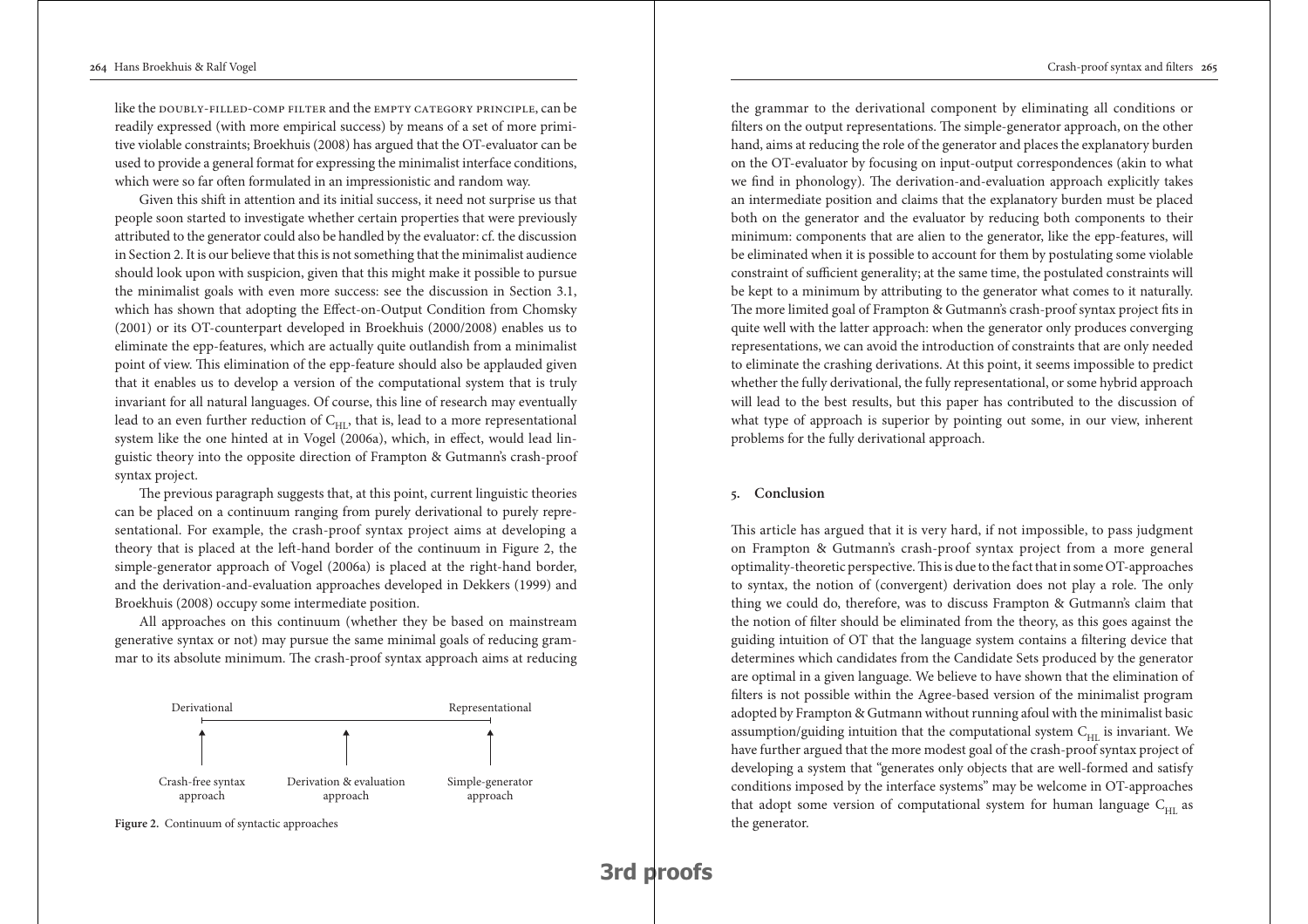like the DOUBLY-FILLED-COMP FILTER and the EMPTY CATEGORY PRINCIPLE, can be readily expressed (with more empirical success) by means of a set of more primitive violable constraints; Broekhuis (2008) has argued that the OT-evaluator can be used to provide a general format for expressing the minimalist interface conditions, which were so far often formulated in an impressionistic and random way.

Given this shift in attention and its initial success, it need not surprise us that people soon started to investigate whether certain properties that were previously attributed to the generator could also be handled by the evaluator: cf. the discussion in Section 2. It is our believe that this is not something that the minimalist audience should look upon with suspicion, given that this might make it possible to pursue the minimalist goals with even more success: see the discussion in Section 3.1, which has shown that adopting the Effect-on-Output Condition from Chomsky (2001) or its OT-counterpart developed in Broekhuis (2000/2008) enables us to eliminate the epp-features, which are actually quite outlandish from a minimalist point of view. This elimination of the epp-feature should also be applauded given that it enables us to develop a version of the computational system that is truly invariant for all natural languages. Of course, this line of research may eventually lead to an even further reduction of  $C_{\text{III}}$ , that is, lead to a more representational system like the one hinted at in Vogel (2006a), which, in effect, would lead linguistic theory into the opposite direction of Frampton & Gutmann's crash-proof syntax project.

The previous paragraph suggests that, at this point, current linguistic theories can be placed on a continuum ranging from purely derivational to purely representational. For example, the crash-proof syntax project aims at developing a theory that is placed at the left-hand border of the continuum in Figure 2, the simple-generator approach of Vogel (2006a) is placed at the right-hand border, and the derivation-and-evaluation approaches developed in Dekkers (1999) and Broekhuis (2008) occupy some intermediate position.

All approaches on this continuum (whether they be based on mainstream generative syntax or not) may pursue the same minimal goals of reducing grammar to its absolute minimum. The crash-proof syntax approach aims at reducing



**Figure 2.** Continuum of syntactic approaches

the grammar to the derivational component by eliminating all conditions or filters on the output representations. The simple-generator approach, on the other hand, aims at reducing the role of the generator and places the explanatory burden on the OT-evaluator by focusing on input-output correspondences (akin to what we find in phonology). The derivation-and-evaluation approach explicitly takes an intermediate position and claims that the explanatory burden must be placed both on the generator and the evaluator by reducing both components to their minimum: components that are alien to the generator, like the epp-features, will be eliminated when it is possible to account for them by postulating some violable constraint of sufficient generality; at the same time, the postulated constraints will be kept to a minimum by attributing to the generator what comes to it naturally. The more limited goal of Frampton & Gutmann's crash-proof syntax project fits in quite well with the latter approach: when the generator only produces converging representations, we can avoid the introduction of constraints that are only needed to eliminate the crashing derivations. At this point, it seems impossible to predict whether the fully derivational, the fully representational, or some hybrid approach will lead to the best results, but this paper has contributed to the discussion of what type of approach is superior by pointing out some, in our view, inherent problems for the fully derivational approach.

#### **5. Conclusion**

This article has argued that it is very hard, if not impossible, to pass judgment on Frampton & Gutmann's crash-proof syntax project from a more general optimality-theoretic perspective. This is due to the fact that in some OT-approaches to syntax, the notion of (convergent) derivation does not play a role. The only thing we could do, therefore, was to discuss Frampton & Gutmann's claim that the notion of filter should be eliminated from the theory, as this goes against the guiding intuition of OT that the language system contains a filtering device that determines which candidates from the Candidate Sets produced by the generator are optimal in a given language. We believe to have shown that the elimination of filters is not possible within the Agree-based version of the minimalist program adopted by Frampton & Gutmann without running afoul with the minimalist basic assumption/guiding intuition that the computational system  $C_{HI}$  is invariant. We have further argued that the more modest goal of the crash-proof syntax project of developing a system that "generates only objects that are well-formed and satisfy conditions imposed by the interface systems" may be welcome in OT-approaches that adopt some version of computational system for human language  $C_{HL}$  as the generator.